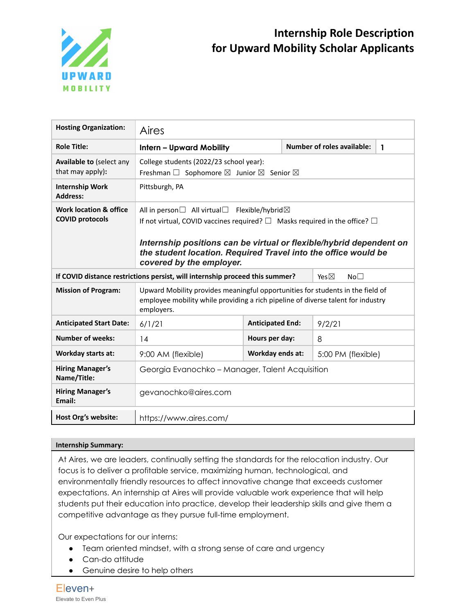

| <b>Hosting Organization:</b>                                | Aires                                                                                                                                                                                                                                                           |                         |  |                                   |   |  |
|-------------------------------------------------------------|-----------------------------------------------------------------------------------------------------------------------------------------------------------------------------------------------------------------------------------------------------------------|-------------------------|--|-----------------------------------|---|--|
| <b>Role Title:</b>                                          | <b>Intern - Upward Mobility</b>                                                                                                                                                                                                                                 |                         |  | <b>Number of roles available:</b> | 1 |  |
| Available to (select any<br>that may apply):                | College students (2022/23 school year):<br>Freshman $\square$ Sophomore $\square$ Junior $\square$ Senior $\square$                                                                                                                                             |                         |  |                                   |   |  |
| <b>Internship Work</b><br><b>Address:</b>                   | Pittsburgh, PA                                                                                                                                                                                                                                                  |                         |  |                                   |   |  |
| <b>Work location &amp; office</b><br><b>COVID protocols</b> | If not virtual, COVID vaccines required? $\square$ Masks required in the office? $\square$<br>Internship positions can be virtual or flexible/hybrid dependent on<br>the student location. Required Travel into the office would be<br>covered by the employer. |                         |  |                                   |   |  |
|                                                             | If COVID distance restrictions persist, will internship proceed this summer?<br>Yes $\boxtimes$<br>No <sub>1</sub>                                                                                                                                              |                         |  |                                   |   |  |
| <b>Mission of Program:</b>                                  | Upward Mobility provides meaningful opportunities for students in the field of<br>employee mobility while providing a rich pipeline of diverse talent for industry<br>employers.                                                                                |                         |  |                                   |   |  |
| <b>Anticipated Start Date:</b>                              | 6/1/21                                                                                                                                                                                                                                                          | <b>Anticipated End:</b> |  | 9/2/21                            |   |  |
| <b>Number of weeks:</b>                                     | 14                                                                                                                                                                                                                                                              | Hours per day:          |  | 8                                 |   |  |
| Workday starts at:                                          | 9:00 AM (flexible)                                                                                                                                                                                                                                              | Workday ends at:        |  | 5:00 PM (flexible)                |   |  |
| <b>Hiring Manager's</b><br>Name/Title:                      | Georgia Evanochko - Manager, Talent Acquisition                                                                                                                                                                                                                 |                         |  |                                   |   |  |
| <b>Hiring Manager's</b><br>Email:                           | gevanochko@aires.com                                                                                                                                                                                                                                            |                         |  |                                   |   |  |
| Host Org's website:                                         | https://www.aires.com/                                                                                                                                                                                                                                          |                         |  |                                   |   |  |

#### **Internship Summary:**

At Aires, we are leaders, continually setting the standards for the relocation industry. Our focus is to deliver a profitable service, maximizing human, technological, and environmentally friendly resources to affect innovative change that exceeds customer expectations. An internship at Aires will provide valuable work experience that will help students put their education into practice, develop their leadership skills and give them a competitive advantage as they pursue full-time employment.

Our expectations for our interns:

- Team oriented mindset, with a strong sense of care and urgency
- Can-do attitude
- Genuine desire to help others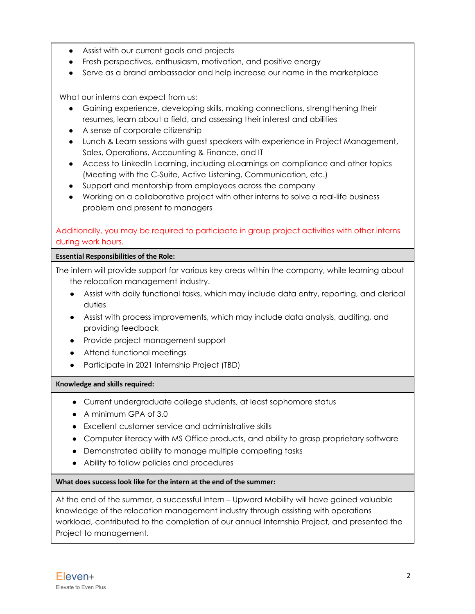- Assist with our current goals and projects
- Fresh perspectives, enthusiasm, motivation, and positive energy
- Serve as a brand ambassador and help increase our name in the marketplace

What our interns can expect from us:

- Gaining experience, developing skills, making connections, strengthening their resumes, learn about a field, and assessing their interest and abilities
- A sense of corporate citizenship
- Lunch & Learn sessions with guest speakers with experience in Project Management, Sales, Operations, Accounting & Finance, and IT
- Access to LinkedIn Learning, including eLearnings on compliance and other topics (Meeting with the C-Suite, Active Listening, Communication, etc.)
- Support and mentorship from employees across the company
- Working on a collaborative project with other interns to solve a real-life business problem and present to managers

# Additionally, you may be required to participate in group project activities with other interns during work hours.

#### **Essential Responsibilities of the Role:**

The intern will provide support for various key areas within the company, while learning about the relocation management industry.

- Assist with daily functional tasks, which may include data entry, reporting, and clerical duties
- Assist with process improvements, which may include data analysis, auditing, and providing feedback
- Provide project management support
- Attend functional meetings
- Participate in 2021 Internship Project (TBD)

## **Knowledge and skills required:**

- Current undergraduate college students, at least sophomore status
- A minimum GPA of 3.0
- Excellent customer service and administrative skills
- Computer literacy with MS Office products, and ability to grasp proprietary software
- Demonstrated ability to manage multiple competing tasks
- Ability to follow policies and procedures

## **What does success look like for the intern at the end of the summer:**

At the end of the summer, a successful Intern – Upward Mobility will have gained valuable knowledge of the relocation management industry through assisting with operations workload, contributed to the completion of our annual Internship Project, and presented the Project to management.